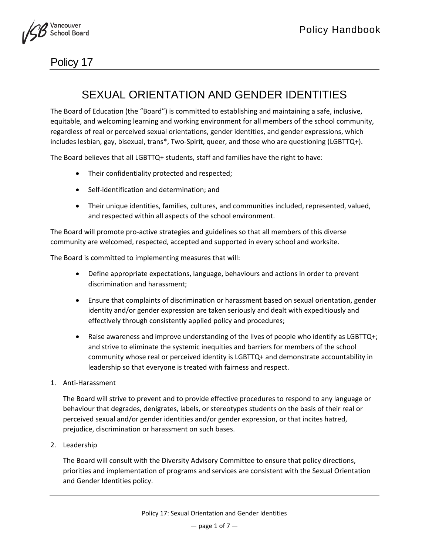

## Policy 17

## SEXUAL ORIENTATION AND GENDER IDENTITIES

The Board of Education (the "Board") is committed to establishing and maintaining a safe, inclusive, equitable, and welcoming learning and working environment for all members of the school community, regardless of real or perceived sexual orientations, gender identities, and gender expressions, which includes lesbian, gay, bisexual, trans\*, Two-Spirit, queer, and those who are questioning (LGBTTQ+).

The Board believes that all LGBTTQ+ students, staff and families have the right to have:

- Their confidentiality protected and respected;
- Self-identification and determination; and
- Their unique identities, families, cultures, and communities included, represented, valued, and respected within all aspects of the school environment.

The Board will promote pro-active strategies and guidelines so that all members of this diverse community are welcomed, respected, accepted and supported in every school and worksite.

The Board is committed to implementing measures that will:

- Define appropriate expectations, language, behaviours and actions in order to prevent discrimination and harassment;
- Ensure that complaints of discrimination or harassment based on sexual orientation, gender identity and/or gender expression are taken seriously and dealt with expeditiously and effectively through consistently applied policy and procedures;
- Raise awareness and improve understanding of the lives of people who identify as LGBTTQ+; and strive to eliminate the systemic inequities and barriers for members of the school community whose real or perceived identity is LGBTTQ+ and demonstrate accountability in leadership so that everyone is treated with fairness and respect.
- 1. Anti-Harassment

The Board will strive to prevent and to provide effective procedures to respond to any language or behaviour that degrades, denigrates, labels, or stereotypes students on the basis of their real or perceived sexual and/or gender identities and/or gender expression, or that incites hatred, prejudice, discrimination or harassment on such bases.

2. Leadership

The Board will consult with the Diversity Advisory Committee to ensure that policy directions, priorities and implementation of programs and services are consistent with the Sexual Orientation and Gender Identities policy.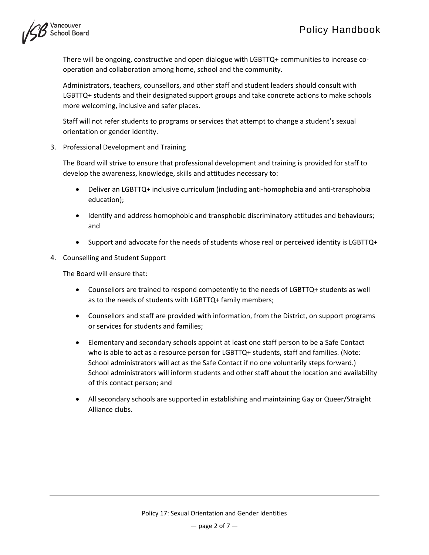

There will be ongoing, constructive and open dialogue with LGBTTQ+ communities to increase cooperation and collaboration among home, school and the community.

Administrators, teachers, counsellors, and other staff and student leaders should consult with LGBTTQ+ students and their designated support groups and take concrete actions to make schools more welcoming, inclusive and safer places.

Staff will not refer students to programs or services that attempt to change a student's sexual orientation or gender identity.

3. Professional Development and Training

The Board will strive to ensure that professional development and training is provided for staff to develop the awareness, knowledge, skills and attitudes necessary to:

- Deliver an LGBTTQ+ inclusive curriculum (including anti-homophobia and anti-transphobia education);
- Identify and address homophobic and transphobic discriminatory attitudes and behaviours; and
- Support and advocate for the needs of students whose real or perceived identity is LGBTTQ+
- 4. Counselling and Student Support

The Board will ensure that:

- Counsellors are trained to respond competently to the needs of LGBTTQ+ students as well as to the needs of students with LGBTTQ+ family members;
- Counsellors and staff are provided with information, from the District, on support programs or services for students and families;
- Elementary and secondary schools appoint at least one staff person to be a Safe Contact who is able to act as a resource person for LGBTTQ+ students, staff and families. (Note: School administrators will act as the Safe Contact if no one voluntarily steps forward.) School administrators will inform students and other staff about the location and availability of this contact person; and
- All secondary schools are supported in establishing and maintaining Gay or Queer/Straight Alliance clubs.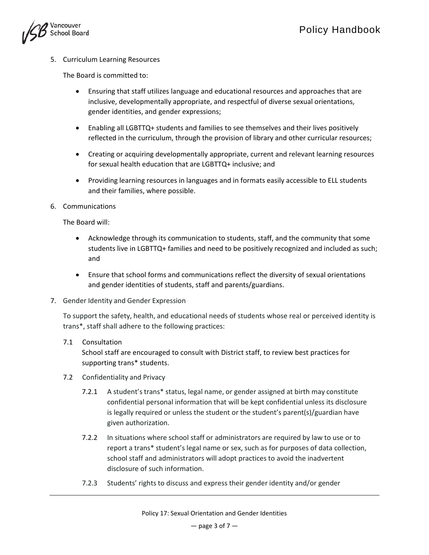

5. Curriculum Learning Resources

The Board is committed to:

- Ensuring that staff utilizes language and educational resources and approaches that are inclusive, developmentally appropriate, and respectful of diverse sexual orientations, gender identities, and gender expressions;
- Enabling all LGBTTQ+ students and families to see themselves and their lives positively reflected in the curriculum, through the provision of library and other curricular resources;
- Creating or acquiring developmentally appropriate, current and relevant learning resources for sexual health education that are LGBTTQ+ inclusive; and
- Providing learning resources in languages and in formats easily accessible to ELL students and their families, where possible.
- 6. Communications

The Board will:

- Acknowledge through its communication to students, staff, and the community that some students live in LGBTTQ+ families and need to be positively recognized and included as such; and
- Ensure that school forms and communications reflect the diversity of sexual orientations and gender identities of students, staff and parents/guardians.
- 7. Gender Identity and Gender Expression

To support the safety, health, and educational needs of students whose real or perceived identity is trans\*, staff shall adhere to the following practices:

7.1 Consultation

School staff are encouraged to consult with District staff, to review best practices for supporting trans\* students.

- 7.2 Confidentiality and Privacy
	- 7.2.1 A student'strans\* status, legal name, or gender assigned at birth may constitute confidential personal information that will be kept confidential unless its disclosure is legally required or unless the student or the student's parent(s)/guardian have given authorization.
	- 7.2.2 In situations where school staff or administrators are required by law to use or to report a trans\* student's legal name or sex, such as for purposes of data collection, school staff and administrators will adopt practices to avoid the inadvertent disclosure of such information.
	- 7.2.3 Students' rights to discuss and express their gender identity and/or gender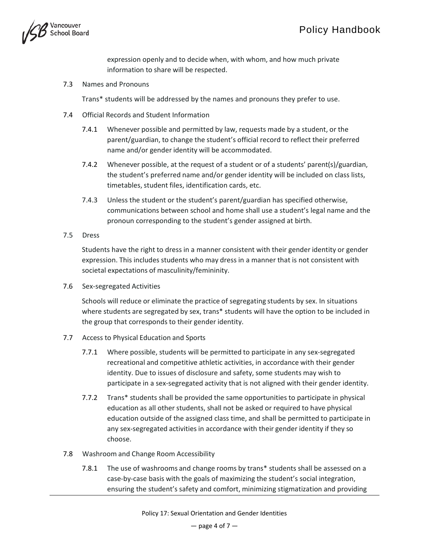

expression openly and to decide when, with whom, and how much private information to share will be respected.

7.3 Names and Pronouns

Trans\* students will be addressed by the names and pronouns they prefer to use.

- 7.4 Official Records and Student Information
	- 7.4.1 Whenever possible and permitted by law, requests made by a student, or the parent/guardian, to change the student's official record to reflect their preferred name and/or gender identity will be accommodated.
	- 7.4.2 Whenever possible, at the request of a student or of a students' parent(s)/guardian, the student's preferred name and/or gender identity will be included on class lists, timetables, student files, identification cards, etc.
	- 7.4.3 Unless the student or the student's parent/guardian has specified otherwise, communications between school and home shall use a student's legal name and the pronoun corresponding to the student's gender assigned at birth.
- 7.5 Dress

Students have the right to dress in a manner consistent with their gender identity or gender expression. This includes students who may dress in a manner that is not consistent with societal expectations of masculinity/femininity.

7.6 Sex-segregated Activities

Schools will reduce or eliminate the practice of segregating students by sex. In situations where students are segregated by sex, trans\* students will have the option to be included in the group that corresponds to their gender identity.

- 7.7 Access to Physical Education and Sports
	- 7.7.1 Where possible, students will be permitted to participate in any sex-segregated recreational and competitive athletic activities, in accordance with their gender identity. Due to issues of disclosure and safety, some students may wish to participate in a sex-segregated activity that is not aligned with their gender identity.
	- 7.7.2 Trans\* students shall be provided the same opportunities to participate in physical education as all other students, shall not be asked or required to have physical education outside of the assigned class time, and shall be permitted to participate in any sex-segregated activities in accordance with their gender identity if they so choose.
- 7.8 Washroom and Change Room Accessibility
	- 7.8.1 The use of washrooms and change rooms by trans\* students shall be assessed on a case-by-case basis with the goals of maximizing the student's social integration, ensuring the student's safety and comfort, minimizing stigmatization and providing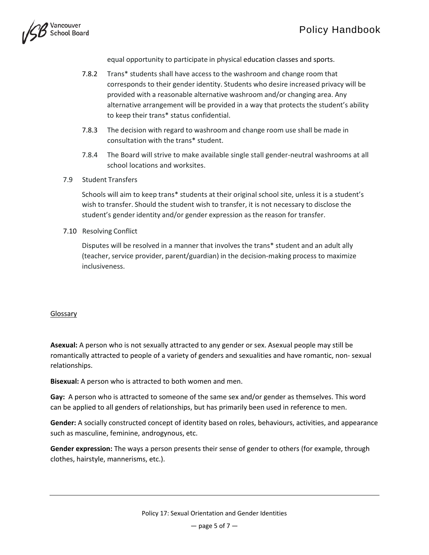

equal opportunity to participate in physical education classes and sports.

- 7.8.2 Trans\* students shall have access to the washroom and change room that corresponds to their gender identity. Students who desire increased privacy will be provided with a reasonable alternative washroom and/or changing area. Any alternative arrangement will be provided in a way that protects the student's ability to keep their trans\* status confidential.
- 7.8.3 The decision with regard to washroom and change room use shall be made in consultation with the trans\* student.
- 7.8.4 The Board will strive to make available single stall gender-neutral washrooms at all school locations and worksites.
- 7.9 Student Transfers

Schools will aim to keep trans\* students at their original school site, unless it is a student's wish to transfer. Should the student wish to transfer, it is not necessary to disclose the student's gender identity and/or gender expression as the reason for transfer.

7.10 Resolving Conflict

Disputes will be resolved in a manner that involves the trans\* student and an adult ally (teacher, service provider, parent/guardian) in the decision-making process to maximize inclusiveness.

## Glossary

**Asexual:** A person who is not sexually attracted to any gender or sex. Asexual people may still be romantically attracted to people of a variety of genders and sexualities and have romantic, non- sexual relationships.

**Bisexual:** A person who is attracted to both women and men.

**Gay:** A person who is attracted to someone of the same sex and/or gender as themselves. This word can be applied to all genders of relationships, but has primarily been used in reference to men.

**Gender:** A socially constructed concept of identity based on roles, behaviours, activities, and appearance such as masculine, feminine, androgynous, etc.

**Gender expression:** The ways a person presents their sense of gender to others (for example, through clothes, hairstyle, mannerisms, etc.).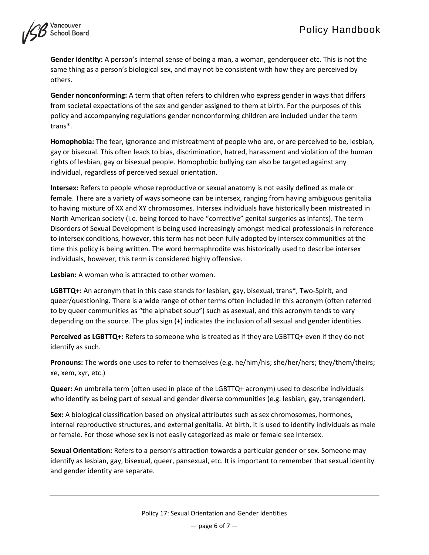

**Gender identity:** A person's internal sense of being a man, a woman, genderqueer etc. This is not the same thing as a person's biological sex, and may not be consistent with how they are perceived by others.

**Gender nonconforming:** A term that often refers to children who express gender in ways that differs from societal expectations of the sex and gender assigned to them at birth. For the purposes of this policy and accompanying regulations gender nonconforming children are included under the term trans\*.

**Homophobia:** The fear, ignorance and mistreatment of people who are, or are perceived to be, lesbian, gay or bisexual. This often leads to bias, discrimination, hatred, harassment and violation of the human rights of lesbian, gay or bisexual people. Homophobic bullying can also be targeted against any individual, regardless of perceived sexual orientation.

**Intersex:** Refers to people whose reproductive or sexual anatomy is not easily defined as male or female. There are a variety of ways someone can be intersex, ranging from having ambiguous genitalia to having mixture of XX and XY chromosomes. Intersex individuals have historically been mistreated in North American society (i.e. being forced to have "corrective" genital surgeries as infants). The term Disorders of Sexual Development is being used increasingly amongst medical professionals in reference to intersex conditions, however, this term has not been fully adopted by intersex communities at the time this policy is being written. The word hermaphrodite was historically used to describe intersex individuals, however, this term is considered highly offensive.

**Lesbian:** A woman who is attracted to other women.

**LGBTTQ+:** An acronym that in this case stands for lesbian, gay, bisexual, trans\*, Two-Spirit, and queer/questioning. There is a wide range of other terms often included in this acronym (often referred to by queer communities as "the alphabet soup") such as asexual, and this acronym tends to vary depending on the source. The plus sign (+) indicates the inclusion of all sexual and gender identities.

**Perceived as LGBTTQ+:** Refers to someone who is treated as if they are LGBTTQ+ even if they do not identify as such.

**Pronouns:** The words one uses to refer to themselves (e.g. he/him/his; she/her/hers; they/them/theirs; xe, xem, xyr, etc.)

**Queer:** An umbrella term (often used in place of the LGBTTQ+ acronym) used to describe individuals who identify as being part of sexual and gender diverse communities (e.g. lesbian, gay, transgender).

**Sex:** A biological classification based on physical attributes such as sex chromosomes, hormones, internal reproductive structures, and external genitalia. At birth, it is used to identify individuals as male or female. For those whose sex is not easily categorized as male or female see Intersex.

**Sexual Orientation:** Refers to a person's attraction towards a particular gender or sex. Someone may identify as lesbian, gay, bisexual, queer, pansexual, etc. It is important to remember that sexual identity and gender identity are separate.